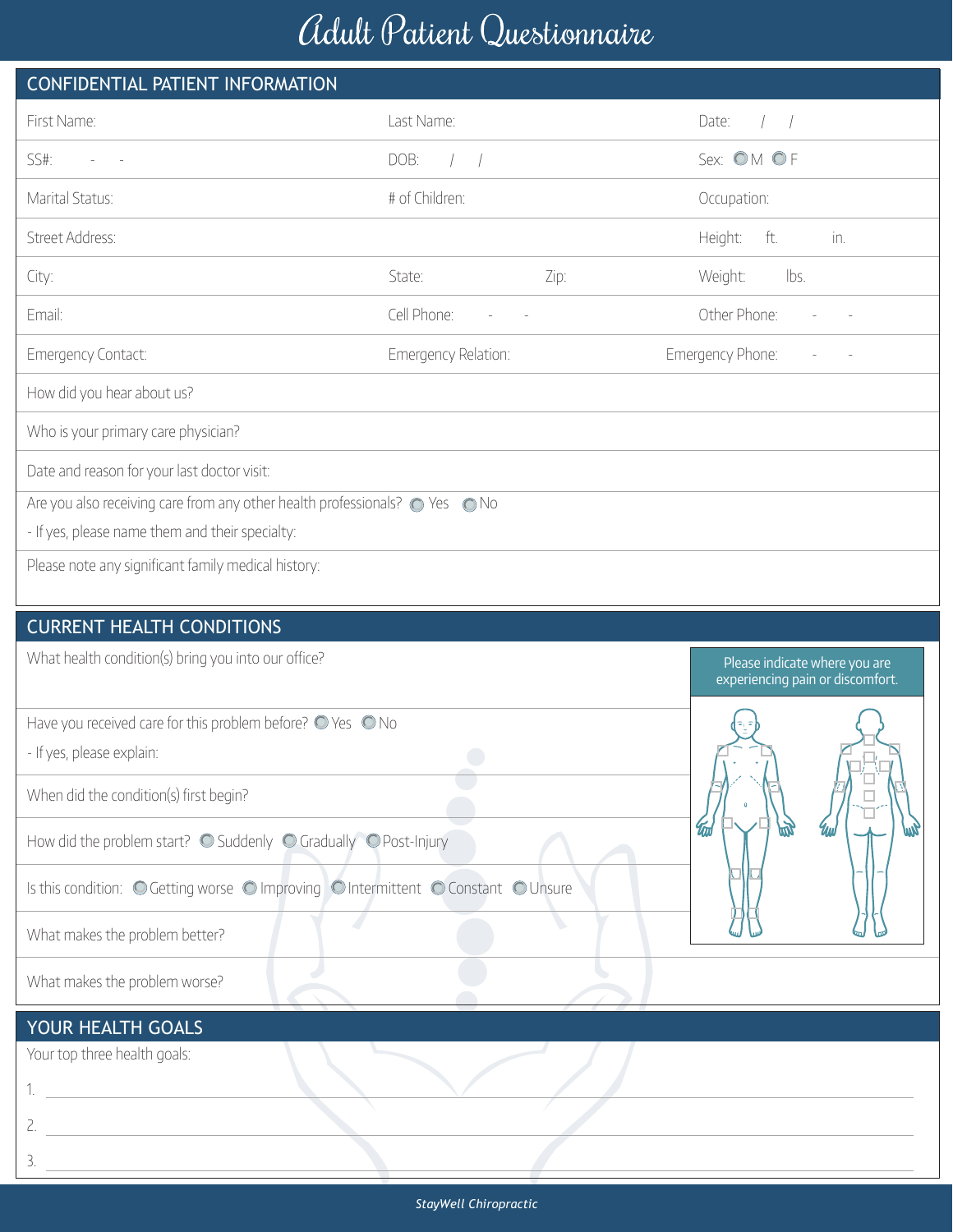## Adult Patient Questionnaire

|                                                                                                                                                  | $\sim$              |                                                                   |  |  |  |  |  |  |  |
|--------------------------------------------------------------------------------------------------------------------------------------------------|---------------------|-------------------------------------------------------------------|--|--|--|--|--|--|--|
| CONFIDENTIAL PATIENT INFORMATION                                                                                                                 |                     |                                                                   |  |  |  |  |  |  |  |
| First Name:                                                                                                                                      | Last Name:          | Date:                                                             |  |  |  |  |  |  |  |
| SS#:                                                                                                                                             | DOB:                | Sex: OM OF                                                        |  |  |  |  |  |  |  |
| Marital Status:                                                                                                                                  | # of Children:      | Occupation:                                                       |  |  |  |  |  |  |  |
| Street Address:                                                                                                                                  |                     | Height:<br>ft.<br>in.                                             |  |  |  |  |  |  |  |
| City:                                                                                                                                            | Zip:<br>State:      | lbs.<br>Weight:                                                   |  |  |  |  |  |  |  |
| Email:                                                                                                                                           | Cell Phone:         | Other Phone:                                                      |  |  |  |  |  |  |  |
| Emergency Contact:                                                                                                                               | Emergency Relation: | Emergency Phone:                                                  |  |  |  |  |  |  |  |
| How did you hear about us?                                                                                                                       |                     |                                                                   |  |  |  |  |  |  |  |
| Who is your primary care physician?                                                                                                              |                     |                                                                   |  |  |  |  |  |  |  |
| Date and reason for your last doctor visit:                                                                                                      |                     |                                                                   |  |  |  |  |  |  |  |
| Are you also receiving care from any other health professionals? $\bigcirc$ Yes $\bigcirc$ No<br>- If yes, please name them and their specialty: |                     |                                                                   |  |  |  |  |  |  |  |
| Please note any significant family medical history:                                                                                              |                     |                                                                   |  |  |  |  |  |  |  |
|                                                                                                                                                  |                     |                                                                   |  |  |  |  |  |  |  |
| <b>CURRENT HEALTH CONDITIONS</b>                                                                                                                 |                     |                                                                   |  |  |  |  |  |  |  |
| What health condition(s) bring you into our office?                                                                                              |                     | Please indicate where you are<br>experiencing pain or discomfort. |  |  |  |  |  |  |  |
| Have you received care for this problem before? $\bigcirc$ Yes $\bigcirc$ No                                                                     |                     |                                                                   |  |  |  |  |  |  |  |
| - If yes, please explain:                                                                                                                        |                     |                                                                   |  |  |  |  |  |  |  |
| When did the condition(s) first begin?                                                                                                           |                     |                                                                   |  |  |  |  |  |  |  |
| How did the problem start? O Suddenly O Gradually O Post-Injury                                                                                  |                     | <b>Twi</b>                                                        |  |  |  |  |  |  |  |
| Is this condition: O Getting worse O Improving O Intermittent O Constant O Unsure                                                                |                     |                                                                   |  |  |  |  |  |  |  |
| What makes the problem better?                                                                                                                   |                     |                                                                   |  |  |  |  |  |  |  |
| What makes the problem worse?                                                                                                                    |                     |                                                                   |  |  |  |  |  |  |  |
| YOUR HEALTH GOALS                                                                                                                                |                     |                                                                   |  |  |  |  |  |  |  |

Your top three health goals:

2.

3.

1.